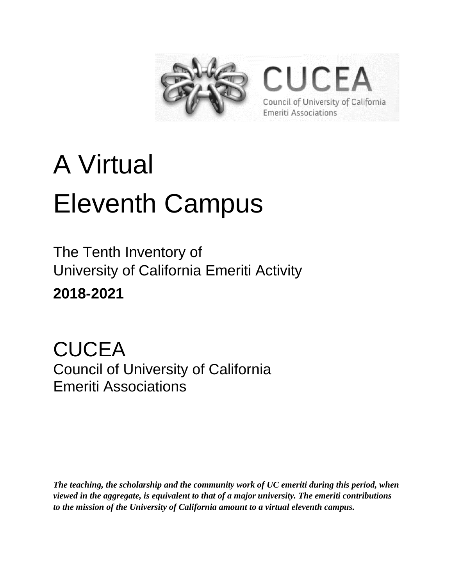

**CUCEA** Council of University of California **Emeriti Associations** 

# A Virtual Eleventh Campus

The Tenth Inventory of University of California Emeriti Activity **2018-2021**

**CUCEA** Council of University of California Emeriti Associations

*The teaching, the scholarship and the community work of UC emeriti during this period, when viewed in the aggregate, is equivalent to that of a major university. The emeriti contributions to the mission of the University of California amount to a virtual eleventh campus.*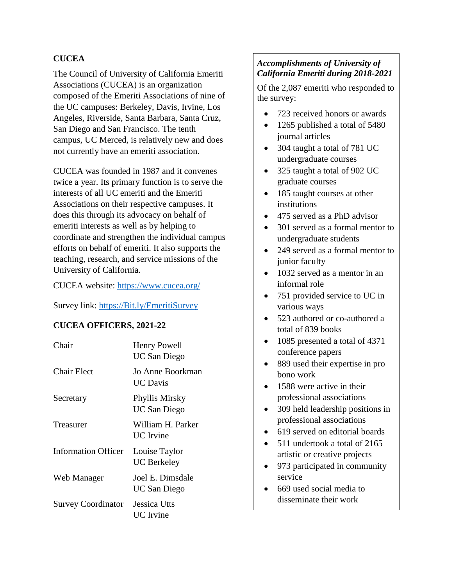#### **CUCEA**

The Council of University of California Emeriti Associations (CUCEA) is an organization composed of the Emeriti Associations of nine of the UC campuses: Berkeley, Davis, Irvine, Los Angeles, Riverside, Santa Barbara, Santa Cruz, San Diego and San Francisco. The tenth campus, UC Merced, is relatively new and does not currently have an emeriti association.

CUCEA was founded in 1987 and it convenes twice a year. Its primary function is to serve the interests of all UC emeriti and the Emeriti Associations on their respective campuses. It does this through its advocacy on behalf of emeriti interests as well as by helping to coordinate and strengthen the individual campus efforts on behalf of emeriti. It also supports the teaching, research, and service missions of the University of California.

CUCEA website:<https://www.cucea.org/>

Survey link: [https://Bit.ly/EmeritiSurvey](https://bit.ly/EmeritiSurvey)

#### **CUCEA OFFICERS, 2021-22**

| Chair                     | <b>Henry Powell</b><br><b>UC San Diego</b> |
|---------------------------|--------------------------------------------|
| <b>Chair Elect</b>        | Jo Anne Boorkman<br>UC Davis               |
| Secretary                 | Phyllis Mirsky<br><b>UC San Diego</b>      |
| Treasurer                 | William H. Parker<br><b>UC</b> Irvine      |
| Information Officer       | Louise Taylor<br>UC Berkeley               |
| Web Manager               | Joel E. Dimsdale<br><b>UC San Diego</b>    |
| <b>Survey Coordinator</b> | Jessica Utts<br>UC Irvine                  |

#### *Accomplishments of University of California Emeriti during 2018-2021*

Of the 2,087 emeriti who responded to the survey:

- 723 received honors or awards
- 1265 published a total of 5480 journal articles
- 304 taught a total of 781 UC undergraduate courses
- 325 taught a total of 902 UC graduate courses
- 185 taught courses at other institutions
- 475 served as a PhD advisor
- 301 served as a formal mentor to undergraduate students
- 249 served as a formal mentor to junior faculty
- 1032 served as a mentor in an informal role
- 751 provided service to UC in various ways
- 523 authored or co-authored a total of 839 books
- 1085 presented a total of 4371 conference papers
- 889 used their expertise in pro bono work
- 1588 were active in their professional associations
- 309 held leadership positions in professional associations
- 619 served on editorial boards
- 511 undertook a total of 2165 artistic or creative projects
- 973 participated in community service
- 669 used social media to disseminate their work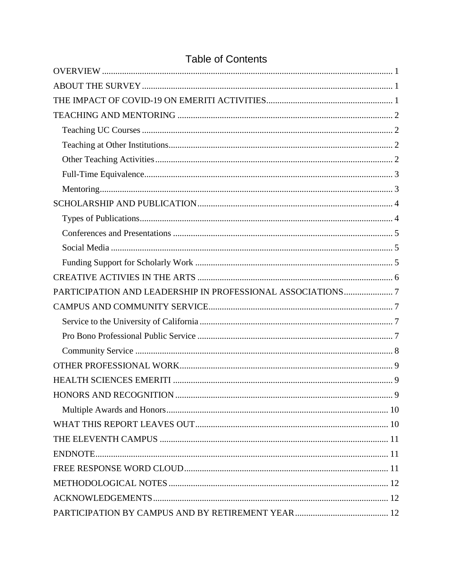| PARTICIPATION AND LEADERSHIP IN PROFESSIONAL ASSOCIATIONS7 |  |
|------------------------------------------------------------|--|
|                                                            |  |
|                                                            |  |
|                                                            |  |
|                                                            |  |
|                                                            |  |
|                                                            |  |
|                                                            |  |
|                                                            |  |
|                                                            |  |
|                                                            |  |
|                                                            |  |
|                                                            |  |
|                                                            |  |
|                                                            |  |
|                                                            |  |

# **Table of Contents**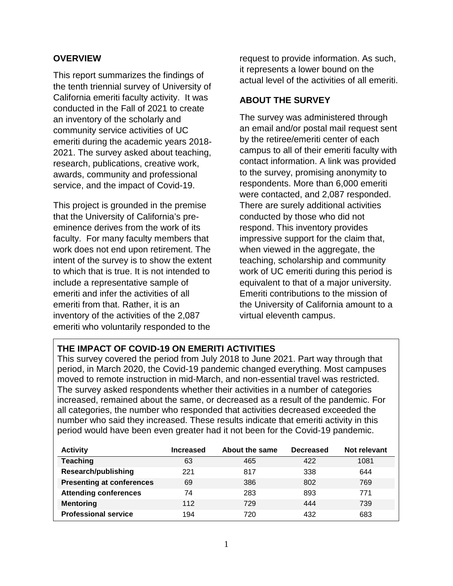#### <span id="page-3-0"></span>**OVERVIEW**

This report summarizes the findings of the tenth triennial survey of University of California emeriti faculty activity. It was conducted in the Fall of 2021 to create an inventory of the scholarly and community service activities of UC emeriti during the academic years 2018- 2021. The survey asked about teaching, research, publications, creative work, awards, community and professional service, and the impact of Covid-19.

This project is grounded in the premise that the University of California's preeminence derives from the work of its faculty. For many faculty members that work does not end upon retirement. The intent of the survey is to show the extent to which that is true. It is not intended to include a representative sample of emeriti and infer the activities of all emeriti from that. Rather, it is an inventory of the activities of the 2,087 emeriti who voluntarily responded to the

request to provide information. As such, it represents a lower bound on the actual level of the activities of all emeriti.

#### <span id="page-3-1"></span>**ABOUT THE SURVEY**

The survey was administered through an email and/or postal mail request sent by the retiree/emeriti center of each campus to all of their emeriti faculty with contact information. A link was provided to the survey, promising anonymity to respondents. More than 6,000 emeriti were contacted, and 2,087 responded. There are surely additional activities conducted by those who did not respond. This inventory provides impressive support for the claim that, when viewed in the aggregate, the teaching, scholarship and community work of UC emeriti during this period is equivalent to that of a major university. Emeriti contributions to the mission of the University of California amount to a virtual eleventh campus.

#### <span id="page-3-2"></span>**THE IMPACT OF COVID-19 ON EMERITI ACTIVITIES**

This survey covered the period from July 2018 to June 2021. Part way through that period, in March 2020, the Covid-19 pandemic changed everything. Most campuses moved to remote instruction in mid-March, and non-essential travel was restricted. The survey asked respondents whether their activities in a number of categories increased, remained about the same, or decreased as a result of the pandemic. For all categories, the number who responded that activities decreased exceeded the number who said they increased. These results indicate that emeriti activity in this period would have been even greater had it not been for the Covid-19 pandemic.

| <b>Activity</b>                  | <b>Increased</b> | About the same | <b>Decreased</b> | Not relevant |
|----------------------------------|------------------|----------------|------------------|--------------|
| <b>Teaching</b>                  | 63               | 465            | 422              | 1081         |
| Research/publishing              | 221              | 817            | 338              | 644          |
| <b>Presenting at conferences</b> | 69               | 386            | 802              | 769          |
| <b>Attending conferences</b>     | 74               | 283            | 893              | 771          |
| <b>Mentoring</b>                 | 112              | 729            | 444              | 739          |
| <b>Professional service</b>      | 194              | 720            | 432              | 683          |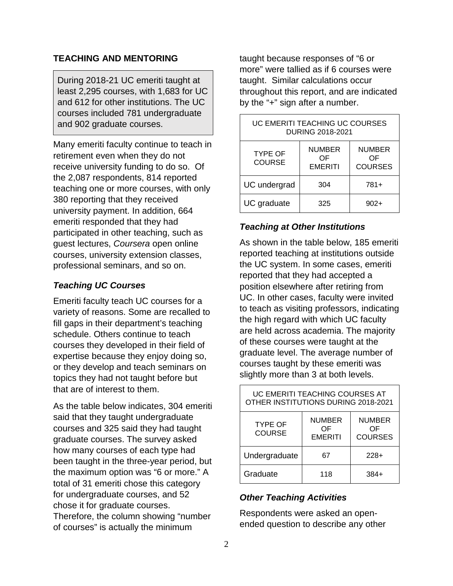#### <span id="page-4-0"></span>**TEACHING AND MENTORING**

During 2018-21 UC emeriti taught at least 2,295 courses, with 1,683 for UC and 612 for other institutions. The UC courses included 781 undergraduate and 902 graduate courses.

Many emeriti faculty continue to teach in retirement even when they do not receive university funding to do so. Of the 2,087 respondents, 814 reported teaching one or more courses, with only 380 reporting that they received university payment. In addition, 664 emeriti responded that they had participated in other teaching, such as guest lectures, *Coursera* open online courses, university extension classes, professional seminars, and so on.

#### <span id="page-4-1"></span>*Teaching UC Courses*

Emeriti faculty teach UC courses for a variety of reasons. Some are recalled to fill gaps in their department's teaching schedule. Others continue to teach courses they developed in their field of expertise because they enjoy doing so, or they develop and teach seminars on topics they had not taught before but that are of interest to them.

As the table below indicates, 304 emeriti said that they taught undergraduate courses and 325 said they had taught graduate courses. The survey asked how many courses of each type had been taught in the three-year period, but the maximum option was "6 or more." A total of 31 emeriti chose this category for undergraduate courses, and 52 chose it for graduate courses. Therefore, the column showing "number of courses" is actually the minimum

taught because responses of "6 or more" were tallied as if 6 courses were taught. Similar calculations occur throughout this report, and are indicated by the "+" sign after a number.

| UC EMERITI TEACHING UC COURSES<br>DURING 2018-2021 |                                       |                                       |
|----------------------------------------------------|---------------------------------------|---------------------------------------|
| <b>TYPE OF</b><br><b>COURSE</b>                    | <b>NUMBER</b><br>ΩF<br><b>EMERITI</b> | <b>NUMBER</b><br>ΟF<br><b>COURSES</b> |
| UC undergrad                                       | 304                                   | 781+                                  |
| UC graduate                                        | 325                                   | $902+$                                |

#### <span id="page-4-2"></span>*Teaching at Other Institutions*

As shown in the table below, 185 emeriti reported teaching at institutions outside the UC system. In some cases, emeriti reported that they had accepted a position elsewhere after retiring from UC. In other cases, faculty were invited to teach as visiting professors, indicating the high regard with which UC faculty are held across academia. The majority of these courses were taught at the graduate level. The average number of courses taught by these emeriti was slightly more than 3 at both levels.

| UC EMERITI TEACHING COURSES AT<br>OTHER INSTITUTIONS DURING 2018-2021 |                                       |                                       |
|-----------------------------------------------------------------------|---------------------------------------|---------------------------------------|
| <b>TYPE OF</b><br><b>COURSE</b>                                       | <b>NUMBER</b><br>ΟF<br><b>EMERITI</b> | <b>NUMBER</b><br>ΟF<br><b>COURSES</b> |
| Undergraduate                                                         | 67                                    | $228+$                                |
| Graduate                                                              | 118                                   | 384+                                  |

#### <span id="page-4-3"></span>*Other Teaching Activities*

Respondents were asked an openended question to describe any other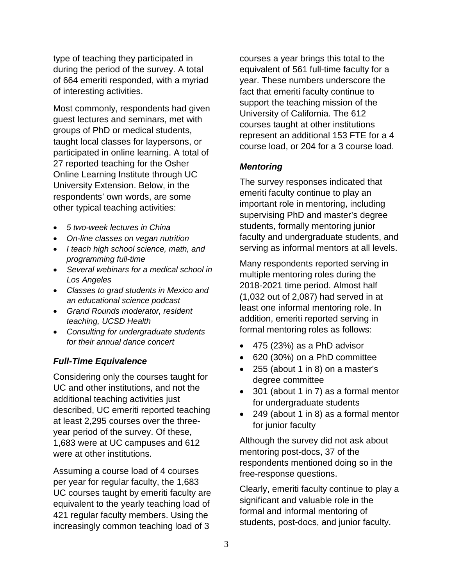type of teaching they participated in during the period of the survey. A total of 664 emeriti responded, with a myriad of interesting activities.

Most commonly, respondents had given guest lectures and seminars, met with groups of PhD or medical students, taught local classes for laypersons, or participated in online learning. A total of 27 reported teaching for the Osher Online Learning Institute through UC University Extension. Below, in the respondents' own words, are some other typical teaching activities:

- *5 two-week lectures in China*
- *On-line classes on vegan nutrition*
- *I teach high school science, math, and programming full-time*
- *Several webinars for a medical school in Los Angeles*
- *Classes to grad students in Mexico and an educational science podcast*
- *Grand Rounds moderator, resident teaching, UCSD Health*
- *Consulting for undergraduate students for their annual dance concert*

#### <span id="page-5-0"></span>*Full-Time Equivalence*

Considering only the courses taught for UC and other institutions, and not the additional teaching activities just described, UC emeriti reported teaching at least 2,295 courses over the threeyear period of the survey. Of these, 1,683 were at UC campuses and 612 were at other institutions.

Assuming a course load of 4 courses per year for regular faculty, the 1,683 UC courses taught by emeriti faculty are equivalent to the yearly teaching load of 421 regular faculty members. Using the increasingly common teaching load of 3

courses a year brings this total to the equivalent of 561 full-time faculty for a year. These numbers underscore the fact that emeriti faculty continue to support the teaching mission of the University of California. The 612 courses taught at other institutions represent an additional 153 FTE for a 4 course load, or 204 for a 3 course load.

#### <span id="page-5-1"></span>*Mentoring*

The survey responses indicated that emeriti faculty continue to play an important role in mentoring, including supervising PhD and master's degree students, formally mentoring junior faculty and undergraduate students, and serving as informal mentors at all levels.

Many respondents reported serving in multiple mentoring roles during the 2018-2021 time period. Almost half (1,032 out of 2,087) had served in at least one informal mentoring role. In addition, emeriti reported serving in formal mentoring roles as follows:

- 475 (23%) as a PhD advisor
- 620 (30%) on a PhD committee
- 255 (about 1 in 8) on a master's degree committee
- 301 (about 1 in 7) as a formal mentor for undergraduate students
- 249 (about 1 in 8) as a formal mentor for junior faculty

Although the survey did not ask about mentoring post-docs, 37 of the respondents mentioned doing so in the free-response questions.

Clearly, emeriti faculty continue to play a significant and valuable role in the formal and informal mentoring of students, post-docs, and junior faculty.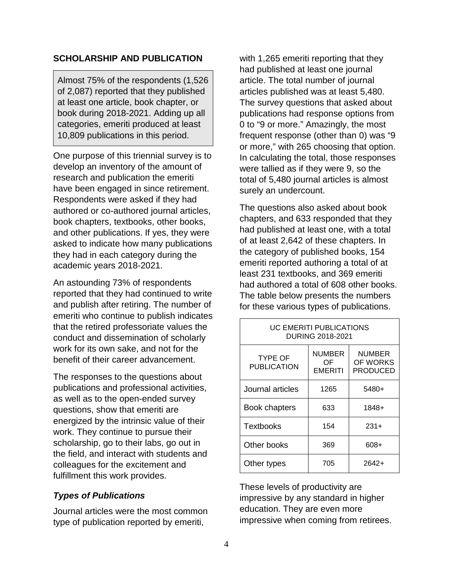#### <span id="page-6-0"></span>**SCHOLARSHIP AND PUBLICATION**

Almost 75% of the respondents (1,526 of 2,087) reported that they published at least one article, book chapter, or book during 2018-2021. Adding up all categories, emeriti produced at least 10,809 publications in this period.

One purpose of this triennial survey is to develop an inventory of the amount of research and publication the emeriti have been engaged in since retirement. Respondents were asked if they had authored or co-authored journal articles, book chapters, textbooks, other books, and other publications. If yes, they were asked to indicate how many publications they had in each category during the academic years 2018-2021.

An astounding 73% of respondents reported that they had continued to write and publish after retiring. The number of emeriti who continue to publish indicates that the retired professoriate values the conduct and dissemination of scholarly work for its own sake, and not for the benefit of their career advancement.

The responses to the questions about publications and professional activities, as well as to the open-ended survey questions, show that emeriti are energized by the intrinsic value of their work. They continue to pursue their scholarship, go to their labs, go out in the field, and interact with students and colleagues for the excitement and fulfillment this work provides.

#### <span id="page-6-1"></span>*Types of Publications*

Journal articles were the most common type of publication reported by emeriti,

with 1,265 emeriti reporting that they had published at least one journal article. The total number of journal articles published was at least 5,480. The survey questions that asked about publications had response options from 0 to "9 or more." Amazingly, the most frequent response (other than 0) was "9 or more," with 265 choosing that option. In calculating the total, those responses were tallied as if they were 9, so the total of 5,480 journal articles is almost surely an undercount.

The questions also asked about book chapters, and 633 responded that they had published at least one, with a total of at least 2,642 of these chapters. In the category of published books, 154 emeriti reported authoring a total of at least 231 textbooks, and 369 emeriti had authored a total of 608 other books. The table below presents the numbers for these various types of publications.

| UC EMERITI PUBLICATIONS<br>DURING 2018-2021 |                                       |                                              |
|---------------------------------------------|---------------------------------------|----------------------------------------------|
| <b>TYPE OF</b><br><b>PUBLICATION</b>        | <b>NUMBER</b><br>OF<br><b>EMERITI</b> | <b>NUMBER</b><br>OF WORKS<br><b>PRODUCED</b> |
| Journal articles                            | 1265                                  | 5480+                                        |
| <b>Book chapters</b>                        | 633                                   | $1848+$                                      |
| Textbooks                                   | 154                                   | $231+$                                       |
| Other books                                 | 369                                   | 608+                                         |
| Other types                                 | 705                                   | 2642+                                        |

These levels of productivity are impressive by any standard in higher education. They are even more impressive when coming from retirees.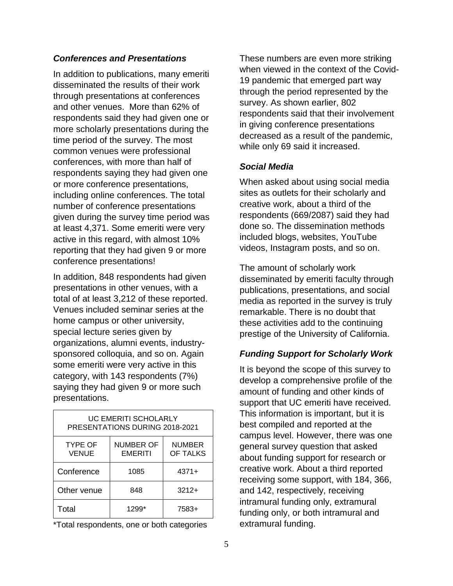#### <span id="page-7-0"></span>*Conferences and Presentations*

In addition to publications, many emeriti disseminated the results of their work through presentations at conferences and other venues. More than 62% of respondents said they had given one or more scholarly presentations during the time period of the survey. The most common venues were professional conferences, with more than half of respondents saying they had given one or more conference presentations, including online conferences. The total number of conference presentations given during the survey time period was at least 4,371. Some emeriti were very active in this regard, with almost 10% reporting that they had given 9 or more conference presentations!

In addition, 848 respondents had given presentations in other venues, with a total of at least 3,212 of these reported. Venues included seminar series at the home campus or other university, special lecture series given by organizations, alumni events, industrysponsored colloquia, and so on. Again some emeriti were very active in this category, with 143 respondents (7%) saying they had given 9 or more such presentations.

| UC EMERITI SCHOLARLY<br>PRESENTATIONS DURING 2018-2021 |                                    |                           |
|--------------------------------------------------------|------------------------------------|---------------------------|
| <b>TYPE OF</b><br><b>VENUE</b>                         | <b>NUMBER OF</b><br><b>EMERITI</b> | <b>NUMBER</b><br>OF TALKS |
| Conference                                             | 1085                               | $4371+$                   |
| Other venue                                            | 848                                | $3212+$                   |
| Total                                                  | 1299*                              | 7583+                     |

\*Total respondents, one or both categories

These numbers are even more striking when viewed in the context of the Covid-19 pandemic that emerged part way through the period represented by the survey. As shown earlier, 802 respondents said that their involvement in giving conference presentations decreased as a result of the pandemic, while only 69 said it increased.

#### <span id="page-7-1"></span>*Social Media*

When asked about using social media sites as outlets for their scholarly and creative work, about a third of the respondents (669/2087) said they had done so. The dissemination methods included blogs, websites, YouTube videos, Instagram posts, and so on.

The amount of scholarly work disseminated by emeriti faculty through publications, presentations, and social media as reported in the survey is truly remarkable. There is no doubt that these activities add to the continuing prestige of the University of California.

#### <span id="page-7-2"></span>*Funding Support for Scholarly Work*

It is beyond the scope of this survey to develop a comprehensive profile of the amount of funding and other kinds of support that UC emeriti have received. This information is important, but it is best compiled and reported at the campus level. However, there was one general survey question that asked about funding support for research or creative work. About a third reported receiving some support, with 184, 366, and 142, respectively, receiving intramural funding only, extramural funding only, or both intramural and extramural funding.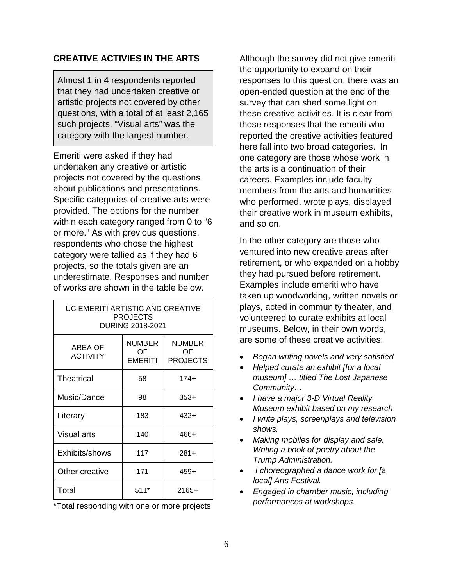#### <span id="page-8-0"></span>**CREATIVE ACTIVIES IN THE ARTS**

Almost 1 in 4 respondents reported that they had undertaken creative or artistic projects not covered by other questions, with a total of at least 2,165 such projects. "Visual arts" was the category with the largest number.

Emeriti were asked if they had undertaken any creative or artistic projects not covered by the questions about publications and presentations. Specific categories of creative arts were provided. The options for the number within each category ranged from 0 to "6 or more." As with previous questions, respondents who chose the highest category were tallied as if they had 6 projects, so the totals given are an underestimate. Responses and number of works are shown in the table below.

| UC EMERITI ARTISTIC AND CREATIVE<br><b>PROJECTS</b><br>DURING 2018-2021 |                                |                          |
|-------------------------------------------------------------------------|--------------------------------|--------------------------|
| AREA OF<br><b>ACTIVITY</b>                                              | <b>NUMBER</b><br>OF<br>EMERITI | NUMBER<br>OF<br>PROJECTS |
| Theatrical                                                              | 58                             | $174+$                   |
| Music/Dance                                                             | 98                             | $353+$                   |
| Literary                                                                | 183                            | $432+$                   |
| Visual arts                                                             | 140                            | 466+                     |
| Exhibits/shows                                                          | 117                            | $281+$                   |
| Other creative                                                          | 171                            | $459+$                   |
| Total                                                                   | $511*$                         | $2165+$                  |

\*Total responding with one or more projects

Although the survey did not give emeriti the opportunity to expand on their responses to this question, there was an open-ended question at the end of the survey that can shed some light on these creative activities. It is clear from those responses that the emeriti who reported the creative activities featured here fall into two broad categories. In one category are those whose work in the arts is a continuation of their careers. Examples include faculty members from the arts and humanities who performed, wrote plays, displayed their creative work in museum exhibits, and so on.

In the other category are those who ventured into new creative areas after retirement, or who expanded on a hobby they had pursued before retirement. Examples include emeriti who have taken up woodworking, written novels or plays, acted in community theater, and volunteered to curate exhibits at local museums. Below, in their own words, are some of these creative activities:

- *Began writing novels and very satisfied*
- *Helped curate an exhibit [for a local museum] … titled The Lost Japanese Community…*
- *I have a major 3-D Virtual Reality Museum exhibit based on my research*
- *I write plays, screenplays and television shows.*
- *Making mobiles for display and sale. Writing a book of poetry about the Trump Administration.*
- *I choreographed a dance work for [a local] Arts Festival.*
- *Engaged in chamber music, including performances at workshops.*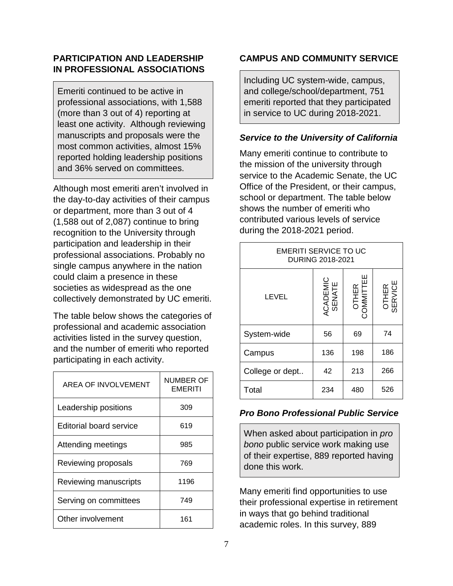#### <span id="page-9-0"></span>**PARTICIPATION AND LEADERSHIP IN PROFESSIONAL ASSOCIATIONS**

Emeriti continued to be active in professional associations, with 1,588 (more than 3 out of 4) reporting at least one activity. Although reviewing manuscripts and proposals were the most common activities, almost 15% reported holding leadership positions and 36% served on committees.

Although most emeriti aren't involved in the day-to-day activities of their campus or department, more than 3 out of 4 (1,588 out of 2,087) continue to bring recognition to the University through participation and leadership in their professional associations. Probably no single campus anywhere in the nation could claim a presence in these societies as widespread as the one collectively demonstrated by UC emeriti.

The table below shows the categories of professional and academic association activities listed in the survey question, and the number of emeriti who reported participating in each activity.

| AREA OF INVOLVEMENT     | NUMBER OF<br>EMERITI |
|-------------------------|----------------------|
| Leadership positions    | 309                  |
| Editorial board service | 619                  |
| Attending meetings      | 985                  |
| Reviewing proposals     | 769                  |
| Reviewing manuscripts   | 1196                 |
| Serving on committees   | 749                  |
| Other involvement       | 161                  |

#### <span id="page-9-1"></span>**CAMPUS AND COMMUNITY SERVICE**

Including UC system-wide, campus, and college/school/department, 751 emeriti reported that they participated in service to UC during 2018-2021.

#### <span id="page-9-2"></span>*Service to the University of California*

Many emeriti continue to contribute to the mission of the university through service to the Academic Senate, the UC Office of the President, or their campus, school or department. The table below shows the number of emeriti who contributed various levels of service during the 2018-2021 period.

| EMERITI SERVICE TO UC<br>DURING 2018-2021 |                    |                             |                  |
|-------------------------------------------|--------------------|-----------------------------|------------------|
| LEVEL                                     | ACADEMIC<br>SENATE | ш<br>冚<br>OTHER<br>COMMITTE | OTHER<br>SERVICE |
| System-wide                               | 56                 | 69                          | 74               |
| Campus                                    | 136                | 198                         | 186              |
| College or dept                           | 42                 | 213                         | 266              |
| Total                                     | 234                | 480                         | 526              |

#### <span id="page-9-3"></span>*Pro Bono Professional Public Service*

When asked about participation in *pro bono* public service work making use of their expertise, 889 reported having done this work.

Many emeriti find opportunities to use their professional expertise in retirement in ways that go behind traditional academic roles. In this survey, 889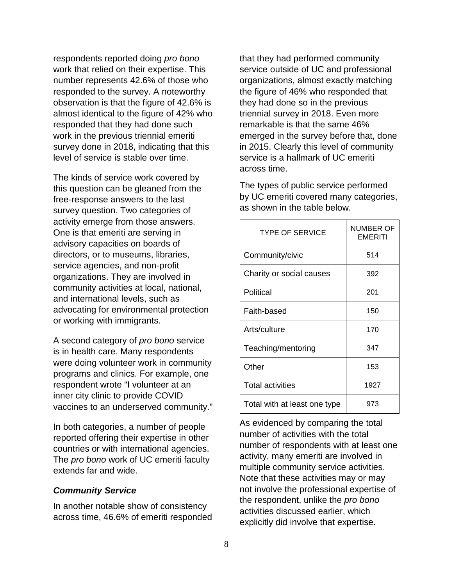respondents reported doing *pro bono* work that relied on their expertise. This number represents 42.6% of those who responded to the survey. A noteworthy observation is that the figure of 42.6% is almost identical to the figure of 42% who responded that they had done such work in the previous triennial emeriti survey done in 2018, indicating that this level of service is stable over time.

The kinds of service work covered by this question can be gleaned from the free-response answers to the last survey question. Two categories of activity emerge from those answers. One is that emeriti are serving in advisory capacities on boards of directors, or to museums, libraries, service agencies, and non-profit organizations. They are involved in community activities at local, national, and international levels, such as advocating for environmental protection or working with immigrants.

A second category of *pro bono* service is in health care. Many respondents were doing volunteer work in community programs and clinics. For example, one respondent wrote "I volunteer at an inner city clinic to provide COVID vaccines to an underserved community."

In both categories, a number of people reported offering their expertise in other countries or with international agencies. The *pro bono* work of UC emeriti faculty extends far and wide.

#### <span id="page-10-0"></span>*Community Service*

In another notable show of consistency across time, 46.6% of emeriti responded that they had performed community service outside of UC and professional organizations, almost exactly matching the figure of 46% who responded that they had done so in the previous triennial survey in 2018. Even more remarkable is that the same 46% emerged in the survey before that, done in 2015. Clearly this level of community service is a hallmark of UC emeriti across time.

The types of public service performed by UC emeriti covered many categories, as shown in the table below.

| <b>TYPE OF SERVICE</b>       | NUMBER OF<br><b>EMERITI</b> |
|------------------------------|-----------------------------|
| Community/civic              | 514                         |
| Charity or social causes     | 392                         |
| Political                    | 201                         |
| Faith-based                  | 150                         |
| Arts/culture                 | 170                         |
| Teaching/mentoring           | 347                         |
| Other                        | 153                         |
| <b>Total activities</b>      | 1927                        |
| Total with at least one type | 973                         |

As evidenced by comparing the total number of activities with the total number of respondents with at least one activity, many emeriti are involved in multiple community service activities. Note that these activities may or may not involve the professional expertise of the respondent, unlike the *pro bono*  activities discussed earlier, which explicitly did involve that expertise.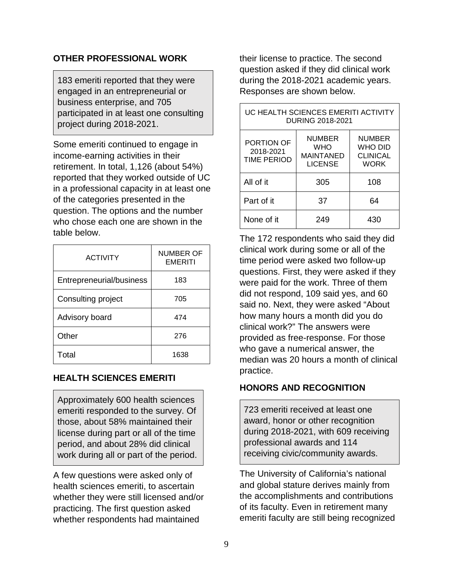#### <span id="page-11-0"></span>**OTHER PROFESSIONAL WORK**

183 emeriti reported that they were engaged in an entrepreneurial or business enterprise, and 705 participated in at least one consulting project during 2018-2021.

Some emeriti continued to engage in income-earning activities in their retirement. In total, 1,126 (about 54%) reported that they worked outside of UC in a professional capacity in at least one of the categories presented in the question. The options and the number who chose each one are shown in the table below.

| <b>ACTIVITY</b>          | <b>NUMBER OF</b><br><b>EMERITI</b> |
|--------------------------|------------------------------------|
| Entrepreneurial/business | 183                                |
| Consulting project       | 705                                |
| Advisory board           | 474                                |
| Other                    | 276                                |
| Total                    | 1638                               |

#### <span id="page-11-1"></span>**HEALTH SCIENCES EMERITI**

Approximately 600 health sciences emeriti responded to the survey. Of those, about 58% maintained their license during part or all of the time period, and about 28% did clinical work during all or part of the period.

A few questions were asked only of health sciences emeriti, to ascertain whether they were still licensed and/or practicing. The first question asked whether respondents had maintained

their license to practice. The second question asked if they did clinical work during the 2018-2021 academic years. Responses are shown below.

| UC HEALTH SCIENCES EMERITI ACTIVITY<br>DURING 2018-2021 |                                                                   |                                                            |  |
|---------------------------------------------------------|-------------------------------------------------------------------|------------------------------------------------------------|--|
| PORTION OF<br>2018-2021<br><b>TIME PERIOD</b>           | <b>NUMBER</b><br><b>WHO</b><br><b>MAINTANED</b><br><b>LICENSE</b> | <b>NUMBER</b><br>WHO DID<br><b>CLINICAL</b><br><b>WORK</b> |  |
| All of it                                               | 305                                                               | 108                                                        |  |
| Part of it                                              | 37                                                                | 64                                                         |  |
| None of it                                              | 249                                                               | 430                                                        |  |

The 172 respondents who said they did clinical work during some or all of the time period were asked two follow-up questions. First, they were asked if they were paid for the work. Three of them did not respond, 109 said yes, and 60 said no. Next, they were asked "About how many hours a month did you do clinical work?" The answers were provided as free-response. For those who gave a numerical answer, the median was 20 hours a month of clinical practice.

#### <span id="page-11-2"></span>**HONORS AND RECOGNITION**

723 emeriti received at least one award, honor or other recognition during 2018-2021, with 609 receiving professional awards and 114 receiving civic/community awards.

The University of California's national and global stature derives mainly from the accomplishments and contributions of its faculty. Even in retirement many emeriti faculty are still being recognized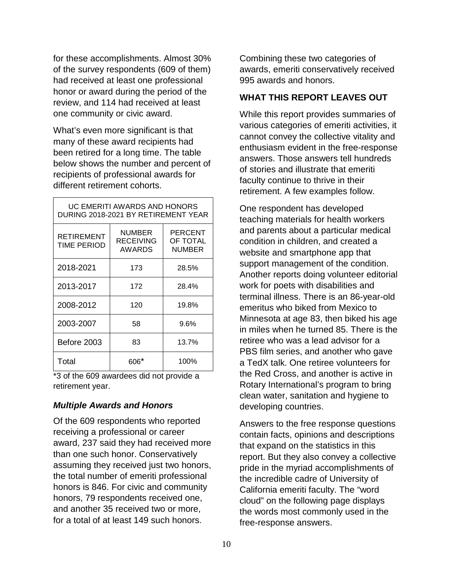for these accomplishments. Almost 30% of the survey respondents (609 of them) had received at least one professional honor or award during the period of the review, and 114 had received at least one community or civic award.

What's even more significant is that many of these award recipients had been retired for a long time. The table below shows the number and percent of recipients of professional awards for different retirement cohorts.

| UC EMERITI AWARDS AND HONORS<br>DURING 2018-2021 BY RETIREMENT YEAR |                               |                               |  |
|---------------------------------------------------------------------|-------------------------------|-------------------------------|--|
| <b>RETIREMENT</b><br><b>TIME PERIOD</b>                             | NUMBER<br>RECEIVING<br>AWARDS | PERCENT<br>OF TOTAL<br>NUMBER |  |
| 2018-2021                                                           | 173                           | 28.5%                         |  |
| 2013-2017                                                           | 172                           | 28.4%                         |  |
| 2008-2012                                                           | 120                           | 19.8%                         |  |
| 2003-2007                                                           | 58                            | $9.6\%$                       |  |
| Before 2003                                                         | 83                            | 13.7%                         |  |
| Total                                                               | ᲜᲘᲜ*                          | 100%                          |  |

\*3 of the 609 awardees did not provide a retirement year.

#### <span id="page-12-0"></span>*Multiple Awards and Honors*

Of the 609 respondents who reported receiving a professional or career award, 237 said they had received more than one such honor. Conservatively assuming they received just two honors, the total number of emeriti professional honors is 846. For civic and community honors, 79 respondents received one, and another 35 received two or more, for a total of at least 149 such honors.

Combining these two categories of awards, emeriti conservatively received 995 awards and honors.

#### <span id="page-12-1"></span>**WHAT THIS REPORT LEAVES OUT**

While this report provides summaries of various categories of emeriti activities, it cannot convey the collective vitality and enthusiasm evident in the free-response answers. Those answers tell hundreds of stories and illustrate that emeriti faculty continue to thrive in their retirement. A few examples follow.

One respondent has developed teaching materials for health workers and parents about a particular medical condition in children, and created a website and smartphone app that support management of the condition. Another reports doing volunteer editorial work for poets with disabilities and terminal illness. There is an 86-year-old emeritus who biked from Mexico to Minnesota at age 83, then biked his age in miles when he turned 85. There is the retiree who was a lead advisor for a PBS film series, and another who gave a TedX talk. One retiree volunteers for the Red Cross, and another is active in Rotary International's program to bring clean water, sanitation and hygiene to developing countries.

Answers to the free response questions contain facts, opinions and descriptions that expand on the statistics in this report. But they also convey a collective pride in the myriad accomplishments of the incredible cadre of University of California emeriti faculty. The "word cloud" on the following page displays the words most commonly used in the free-response answers.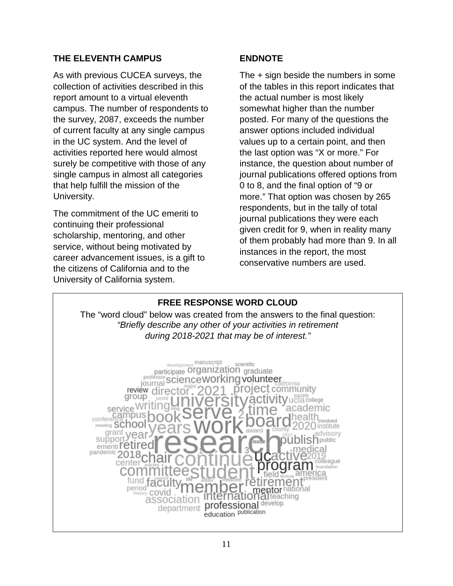#### <span id="page-13-0"></span>**THE ELEVENTH CAMPUS**

As with previous CUCEA surveys, the collection of activities described in this report amount to a virtual eleventh campus. The number of respondents to the survey, 2087, exceeds the number of current faculty at any single campus in the UC system. And the level of activities reported here would almost surely be competitive with those of any single campus in almost all categories that help fulfill the mission of the University.

The commitment of the UC emeriti to continuing their professional scholarship, mentoring, and other service, without being motivated by career advancement issues, is a gift to the citizens of California and to the University of California system.

#### <span id="page-13-1"></span>**ENDNOTE**

The + sign beside the numbers in some of the tables in this report indicates that the actual number is most likely somewhat higher than the number posted. For many of the questions the answer options included individual values up to a certain point, and then the last option was "X or more." For instance, the question about number of journal publications offered options from 0 to 8, and the final option of "9 or more." That option was chosen by 265 respondents, but in the tally of total journal publications they were each given credit for 9, when in reality many of them probably had more than 9. In all instances in the report, the most conservative numbers are used.

# **FREE RESPONSE WORD CLOUD**

<span id="page-13-2"></span>The "word cloud" below was created from the answers to the final question: *"Briefly describe any other of your activities in retirement during 2018-2021 that may be of interest."*

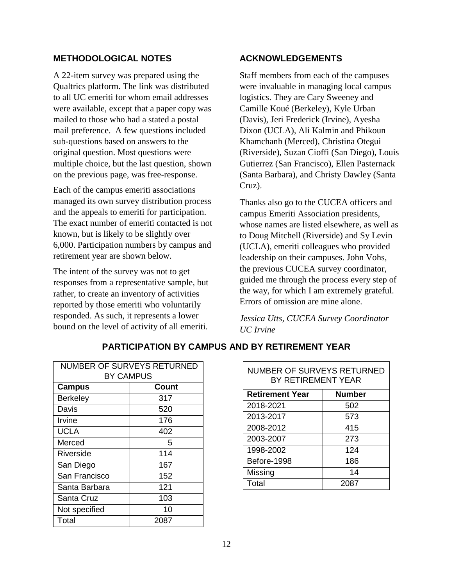#### <span id="page-14-0"></span>**METHODOLOGICAL NOTES**

A 22-item survey was prepared using the Qualtrics platform. The link was distributed to all UC emeriti for whom email addresses were available, except that a paper copy was mailed to those who had a stated a postal mail preference. A few questions included sub-questions based on answers to the original question. Most questions were multiple choice, but the last question, shown on the previous page, was free-response.

Each of the campus emeriti associations managed its own survey distribution process and the appeals to emeriti for participation. The exact number of emeriti contacted is not known, but is likely to be slightly over 6,000. Participation numbers by campus and retirement year are shown below.

The intent of the survey was not to get responses from a representative sample, but rather, to create an inventory of activities reported by those emeriti who voluntarily responded. As such, it represents a lower bound on the level of activity of all emeriti.

#### <span id="page-14-1"></span>**ACKNOWLEDGEMENTS**

Staff members from each of the campuses were invaluable in managing local campus logistics. They are Cary Sweeney and Camille Koué (Berkeley), Kyle Urban (Davis), Jeri Frederick (Irvine), Ayesha Dixon (UCLA), Ali Kalmin and Phikoun Khamchanh (Merced), Christina Otegui (Riverside), Suzan Cioffi (San Diego), Louis Gutierrez (San Francisco), Ellen Pasternack (Santa Barbara), and Christy Dawley (Santa Cruz).

Thanks also go to the CUCEA officers and campus Emeriti Association presidents, whose names are listed elsewhere, as well as to Doug Mitchell (Riverside) and Sy Levin (UCLA), emeriti colleagues who provided leadership on their campuses. John Vohs, the previous CUCEA survey coordinator, guided me through the process every step of the way, for which I am extremely grateful. Errors of omission are mine alone.

*Jessica Utts, CUCEA Survey Coordinator UC Irvine*

<span id="page-14-2"></span>

| NUMBER OF SURVEYS RETURNED |              |  |  |
|----------------------------|--------------|--|--|
| <b>BY CAMPUS</b>           |              |  |  |
| <b>Campus</b>              | <b>Count</b> |  |  |
| <b>Berkeley</b>            | 317          |  |  |
| Davis                      | 520          |  |  |
| Irvine                     | 176          |  |  |
| <b>UCLA</b>                | 402          |  |  |
| Merced                     | 5            |  |  |
| Riverside                  | 114          |  |  |
| San Diego                  | 167          |  |  |
| San Francisco              | 152          |  |  |
| Santa Barbara              | 121          |  |  |
| Santa Cruz                 | 103          |  |  |
| Not specified              | 10           |  |  |
| Total                      | 2087         |  |  |

#### **PARTICIPATION BY CAMPUS AND BY RETIREMENT YEAR**

| NUMBER OF SURVEYS RETURNED<br>BY RETIREMENT YEAR |               |  |
|--------------------------------------------------|---------------|--|
| <b>Retirement Year</b>                           | <b>Number</b> |  |
| 2018-2021                                        | 502           |  |
| 2013-2017                                        | 573           |  |
| 2008-2012                                        | 415           |  |
| 2003-2007                                        | 273           |  |
| 1998-2002                                        | 124           |  |
| Before-1998                                      | 186           |  |
| Missing                                          | 14            |  |
| Total                                            | 2087          |  |